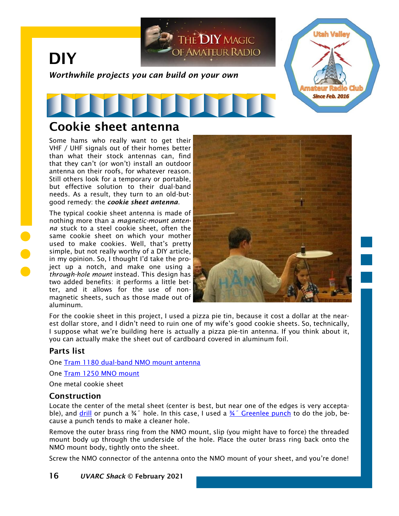

## Cookie sheet antenna

Some hams who really want to get their VHF / UHF signals out of their homes better than what their stock antennas can, find that they can't (or won't) install an outdoor antenna on their roofs, for whatever reason. Still others look for a temporary or portable, but effective solution to their dual-band needs. As a result, they turn to an old-butgood remedy: the *cookie sheet antenna*.

The typical cookie sheet antenna is made of nothing more than a *magnetic-mount antenna* stuck to a steel cookie sheet, often the same cookie sheet on which your mother used to make cookies. Well, that's pretty simple, but not really worthy of a DIY article, in my opinion. So, I thought I'd take the project up a notch, and make one using a *through-hole mount* instead. This design has two added benefits: it performs a little better, and it allows for the use of nonmagnetic sheets, such as those made out of aluminum.



For the cookie sheet in this project, I used a pizza pie tin, because it cost a dollar at the nearest dollar store, and I didn't need to ruin one of my wife's good cookie sheets. So, technically, I suppose what we're building here is actually a pizza pie-tin antenna. If you think about it, you can actually make the sheet out of cardboard covered in aluminum foil.

## Parts list

One [Tram 1180 dual-band NMO mount antenna](http://a.co/40Ik0jV)

One [Tram 1250 MNO mount](https://smile.amazon.com/Tram-Antenna-Surface-Connector-Kenwood/dp/B00XCZMUQC/)

One metal cookie sheet

### Construction

Locate the center of the metal sheet (center is best, but near one of the edges is very acceptable), and [drill](https://www.homedepot.com/p/Milwaukee-7-8-in-SHOCKWAVE-IMPACT-DUTY-Hole-Saw-49-56-9810/204994421) or punch a  $\frac{3}{4}$ " hole. In this case, I used a  $\frac{3}{4}$ " Greenlee punch to do the job, because a punch tends to make a cleaner hole.

Remove the outer brass ring from the NMO mount, slip (you might have to force) the threaded mount body up through the underside of the hole. Place the outer brass ring back onto the NMO mount body, tightly onto the sheet.

Screw the NMO connector of the antenna onto the NMO mount of your sheet, and you're done!